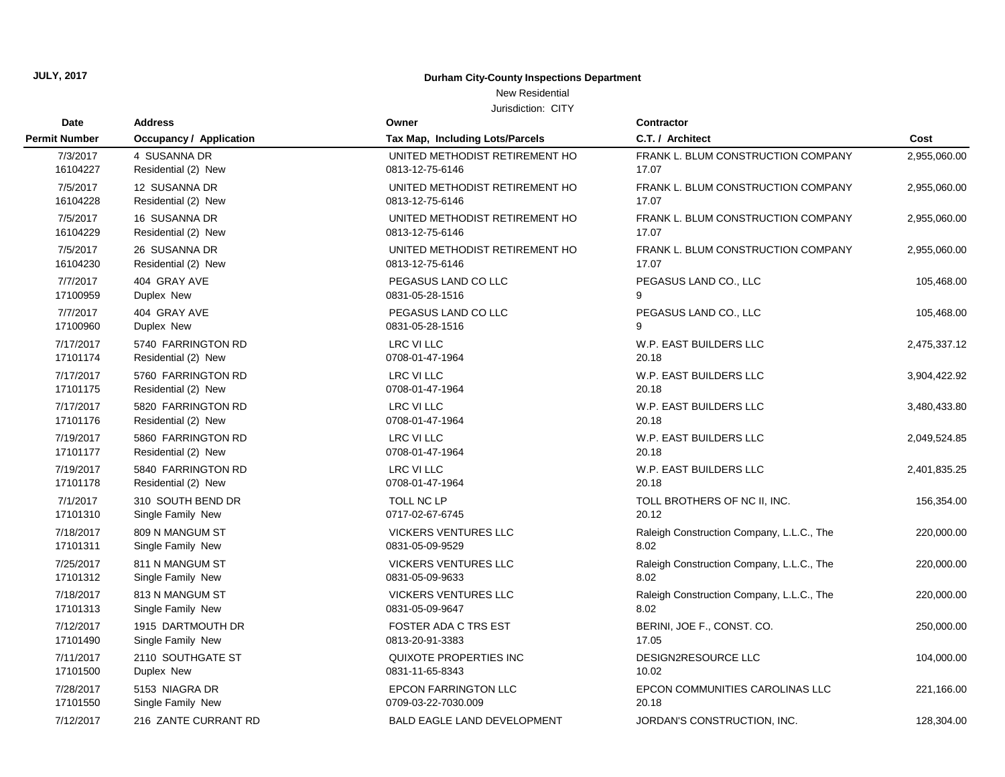## New Residential

| Date                 | <b>Address</b>                 | Owner                              | <b>Contractor</b>                         |              |
|----------------------|--------------------------------|------------------------------------|-------------------------------------------|--------------|
| <b>Permit Number</b> | <b>Occupancy / Application</b> | Tax Map, Including Lots/Parcels    | C.T. / Architect                          | Cost         |
| 7/3/2017             | 4 SUSANNA DR                   | UNITED METHODIST RETIREMENT HO     | FRANK L. BLUM CONSTRUCTION COMPANY        | 2,955,060.00 |
| 16104227             | Residential (2) New            | 0813-12-75-6146                    | 17.07                                     |              |
| 7/5/2017             | 12 SUSANNA DR                  | UNITED METHODIST RETIREMENT HO     | FRANK L. BLUM CONSTRUCTION COMPANY        | 2,955,060.00 |
| 16104228             | Residential (2) New            | 0813-12-75-6146                    | 17.07                                     |              |
| 7/5/2017             | 16 SUSANNA DR                  | UNITED METHODIST RETIREMENT HO     | FRANK L. BLUM CONSTRUCTION COMPANY        | 2,955,060.00 |
| 16104229             | Residential (2) New            | 0813-12-75-6146                    | 17.07                                     |              |
| 7/5/2017             | 26 SUSANNA DR                  | UNITED METHODIST RETIREMENT HO     | FRANK L. BLUM CONSTRUCTION COMPANY        | 2,955,060.00 |
| 16104230             | Residential (2) New            | 0813-12-75-6146                    | 17.07                                     |              |
| 7/7/2017             | 404 GRAY AVE                   | PEGASUS LAND CO LLC                | PEGASUS LAND CO., LLC                     | 105,468.00   |
| 17100959             | Duplex New                     | 0831-05-28-1516                    | 9                                         |              |
| 7/7/2017             | 404 GRAY AVE                   | PEGASUS LAND CO LLC                | PEGASUS LAND CO., LLC                     | 105,468.00   |
| 17100960             | Duplex New                     | 0831-05-28-1516                    | 9                                         |              |
| 7/17/2017            | 5740 FARRINGTON RD             | <b>LRC VI LLC</b>                  | W.P. EAST BUILDERS LLC                    | 2,475,337.12 |
| 17101174             | Residential (2) New            | 0708-01-47-1964                    | 20.18                                     |              |
| 7/17/2017            | 5760 FARRINGTON RD             | <b>LRC VI LLC</b>                  | W.P. EAST BUILDERS LLC                    | 3,904,422.92 |
| 17101175             | Residential (2) New            | 0708-01-47-1964                    | 20.18                                     |              |
| 7/17/2017            | 5820 FARRINGTON RD             | <b>LRC VI LLC</b>                  | W.P. EAST BUILDERS LLC                    | 3,480,433.80 |
| 17101176             | Residential (2) New            | 0708-01-47-1964                    | 20.18                                     |              |
| 7/19/2017            | 5860 FARRINGTON RD             | <b>LRC VI LLC</b>                  | W.P. EAST BUILDERS LLC                    | 2,049,524.85 |
| 17101177             | Residential (2) New            | 0708-01-47-1964                    | 20.18                                     |              |
| 7/19/2017            | 5840 FARRINGTON RD             | <b>LRC VI LLC</b>                  | W.P. EAST BUILDERS LLC                    | 2,401,835.25 |
| 17101178             | Residential (2) New            | 0708-01-47-1964                    | 20.18                                     |              |
| 7/1/2017             | 310 SOUTH BEND DR              | <b>TOLL NC LP</b>                  | TOLL BROTHERS OF NC II, INC.              | 156,354.00   |
| 17101310             | Single Family New              | 0717-02-67-6745                    | 20.12                                     |              |
| 7/18/2017            | 809 N MANGUM ST                | <b>VICKERS VENTURES LLC</b>        | Raleigh Construction Company, L.L.C., The | 220,000.00   |
| 17101311             | Single Family New              | 0831-05-09-9529                    | 8.02                                      |              |
| 7/25/2017            | 811 N MANGUM ST                | <b>VICKERS VENTURES LLC</b>        | Raleigh Construction Company, L.L.C., The | 220,000.00   |
| 17101312             | Single Family New              | 0831-05-09-9633                    | 8.02                                      |              |
| 7/18/2017            | 813 N MANGUM ST                | <b>VICKERS VENTURES LLC</b>        | Raleigh Construction Company, L.L.C., The | 220,000.00   |
| 17101313             | Single Family New              | 0831-05-09-9647                    | 8.02                                      |              |
| 7/12/2017            | 1915 DARTMOUTH DR              | <b>FOSTER ADA C TRS EST</b>        | BERINI, JOE F., CONST. CO.                | 250,000.00   |
| 17101490             | Single Family New              | 0813-20-91-3383                    | 17.05                                     |              |
| 7/11/2017            | 2110 SOUTHGATE ST              | QUIXOTE PROPERTIES INC             | DESIGN2RESOURCE LLC                       | 104,000.00   |
| 17101500             | Duplex New                     | 0831-11-65-8343                    | 10.02                                     |              |
| 7/28/2017            | 5153 NIAGRA DR                 | <b>EPCON FARRINGTON LLC</b>        | EPCON COMMUNITIES CAROLINAS LLC           | 221,166.00   |
| 17101550             | Single Family New              | 0709-03-22-7030.009                | 20.18                                     |              |
| 7/12/2017            | 216 ZANTE CURRANT RD           | <b>BALD EAGLE LAND DEVELOPMENT</b> | JORDAN'S CONSTRUCTION, INC.               | 128,304.00   |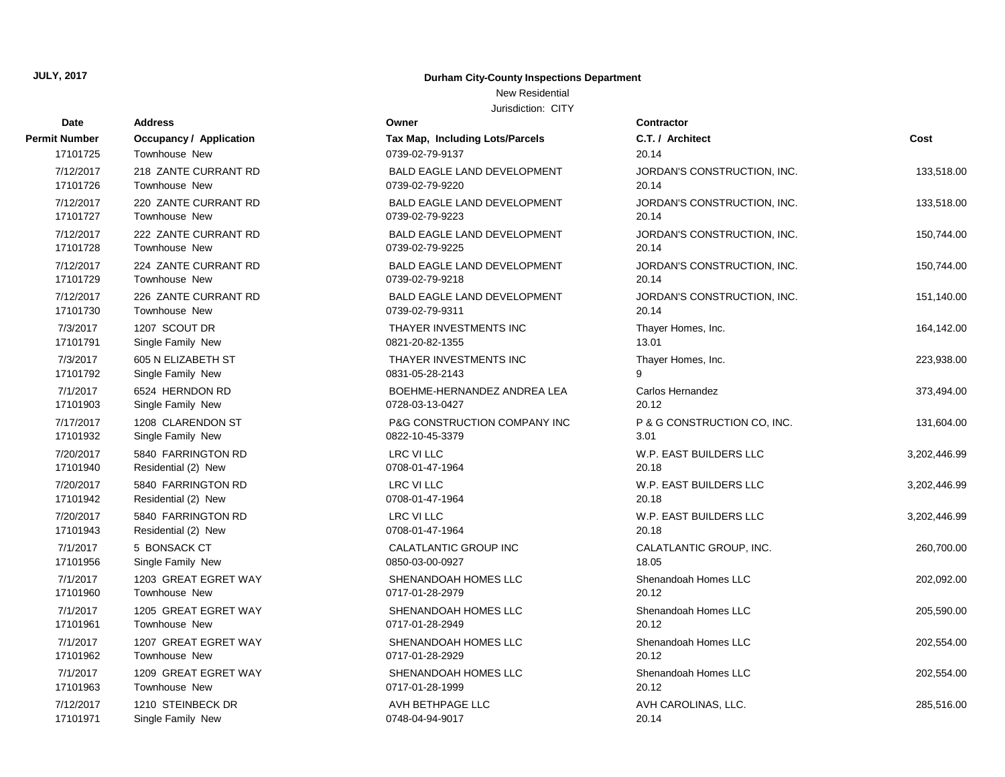# New Residential

| Date          | <b>Address</b>                 | Owner                              | <b>Contractor</b>           |              |
|---------------|--------------------------------|------------------------------------|-----------------------------|--------------|
| Permit Number | <b>Occupancy / Application</b> | Tax Map, Including Lots/Parcels    | C.T. / Architect            | Cost         |
| 17101725      | Townhouse New                  | 0739-02-79-9137                    | 20.14                       |              |
| 7/12/2017     | 218 ZANTE CURRANT RD           | <b>BALD EAGLE LAND DEVELOPMENT</b> | JORDAN'S CONSTRUCTION, INC. | 133,518.00   |
| 17101726      | <b>Townhouse New</b>           | 0739-02-79-9220                    | 20.14                       |              |
| 7/12/2017     | 220 ZANTE CURRANT RD           | BALD EAGLE LAND DEVELOPMENT        | JORDAN'S CONSTRUCTION, INC. | 133,518.00   |
| 17101727      | <b>Townhouse New</b>           | 0739-02-79-9223                    | 20.14                       |              |
| 7/12/2017     | 222 ZANTE CURRANT RD           | BALD EAGLE LAND DEVELOPMENT        | JORDAN'S CONSTRUCTION, INC. | 150,744.00   |
| 17101728      | Townhouse New                  | 0739-02-79-9225                    | 20.14                       |              |
| 7/12/2017     | 224 ZANTE CURRANT RD           | <b>BALD EAGLE LAND DEVELOPMENT</b> | JORDAN'S CONSTRUCTION, INC. | 150,744.00   |
| 17101729      | Townhouse New                  | 0739-02-79-9218                    | 20.14                       |              |
| 7/12/2017     | 226 ZANTE CURRANT RD           | BALD EAGLE LAND DEVELOPMENT        | JORDAN'S CONSTRUCTION, INC. | 151,140.00   |
| 17101730      | Townhouse New                  | 0739-02-79-9311                    | 20.14                       |              |
| 7/3/2017      | 1207 SCOUT DR                  | THAYER INVESTMENTS INC             | Thayer Homes, Inc.          | 164,142.00   |
| 17101791      | Single Family New              | 0821-20-82-1355                    | 13.01                       |              |
| 7/3/2017      | 605 N ELIZABETH ST             | THAYER INVESTMENTS INC             | Thayer Homes, Inc.          | 223,938.00   |
| 17101792      | Single Family New              | 0831-05-28-2143                    | q                           |              |
| 7/1/2017      | 6524 HERNDON RD                | BOEHME-HERNANDEZ ANDREA LEA        | Carlos Hernandez            | 373,494.00   |
| 17101903      | Single Family New              | 0728-03-13-0427                    | 20.12                       |              |
| 7/17/2017     | 1208 CLARENDON ST              | P&G CONSTRUCTION COMPANY INC       | P & G CONSTRUCTION CO, INC. | 131,604.00   |
| 17101932      | Single Family New              | 0822-10-45-3379                    | 3.01                        |              |
| 7/20/2017     | 5840 FARRINGTON RD             | <b>LRC VI LLC</b>                  | W.P. EAST BUILDERS LLC      | 3,202,446.99 |
| 17101940      | Residential (2) New            | 0708-01-47-1964                    | 20.18                       |              |
| 7/20/2017     | 5840 FARRINGTON RD             | LRC VI LLC                         | W.P. EAST BUILDERS LLC      | 3,202,446.99 |
| 17101942      | Residential (2) New            | 0708-01-47-1964                    | 20.18                       |              |
| 7/20/2017     | 5840 FARRINGTON RD             | LRC VI LLC                         | W.P. EAST BUILDERS LLC      | 3,202,446.99 |
| 17101943      | Residential (2) New            | 0708-01-47-1964                    | 20.18                       |              |
| 7/1/2017      | 5 BONSACK CT                   | CALATLANTIC GROUP INC              | CALATLANTIC GROUP, INC.     | 260,700.00   |
| 17101956      | Single Family New              | 0850-03-00-0927                    | 18.05                       |              |
| 7/1/2017      | 1203 GREAT EGRET WAY           | SHENANDOAH HOMES LLC               | Shenandoah Homes LLC        | 202,092.00   |
| 17101960      | Townhouse New                  | 0717-01-28-2979                    | 20.12                       |              |
| 7/1/2017      | 1205 GREAT EGRET WAY           | SHENANDOAH HOMES LLC               | Shenandoah Homes LLC        | 205,590.00   |
| 17101961      | <b>Townhouse New</b>           | 0717-01-28-2949                    | 20.12                       |              |
| 7/1/2017      | 1207 GREAT EGRET WAY           | SHENANDOAH HOMES LLC               | Shenandoah Homes LLC        | 202,554.00   |
| 17101962      | <b>Townhouse New</b>           | 0717-01-28-2929                    | 20.12                       |              |
| 7/1/2017      | 1209 GREAT EGRET WAY           | SHENANDOAH HOMES LLC               | Shenandoah Homes LLC        | 202,554.00   |
| 17101963      | Townhouse New                  | 0717-01-28-1999                    | 20.12                       |              |
| 7/12/2017     | 1210 STEINBECK DR              | AVH BETHPAGE LLC                   | AVH CAROLINAS, LLC.         | 285,516.00   |
| 17101971      | Single Family New              | 0748-04-94-9017                    | 20.14                       |              |

| ermit Number          | <b>Occupancy / Application</b>         |
|-----------------------|----------------------------------------|
| 17101725              | <b>Townhouse New</b>                   |
| 7/12/2017             | 218 ZANTE CURRANT RD                   |
| 17101726              | Townhouse New                          |
| 7/12/2017             | 220 ZANTE CURRANT RD                   |
| 17101727              | Townhouse New                          |
| 7/12/2017<br>17101728 | 222 ZANTE CURRANT RD<br>Townhouse New  |
| 7/12/2017             | 224 ZANTE CURRANT RD                   |
| 17101729              | Townhouse New                          |
| 7/12/2017             | 226 ZANTE CURRANT RD                   |
| 17101730              | Townhouse New                          |
| 7/3/2017              | 1207 SCOUT DR                          |
| 17101791              | Single Family New                      |
| 7/3/2017              | 605 N ELIZABETH ST                     |
| 17101792              | Single Family New                      |
| 7/1/2017<br>17101903  | 6524 HERNDON RD<br>Single Family New   |
| 7/17/2017             | 1208 CLARENDON ST                      |
| 17101932              | Single Family New                      |
| 7/20/2017             | 5840 FARRINGTON RD                     |
| 17101940              | Residential (2) New                    |
| 7/20/2017             | 5840 FARRINGTON RD                     |
| 17101942              | Residential (2) New                    |
| 7/20/2017             | 5840 FARRINGTON RD                     |
| 17101943              | Residential (2) New                    |
| 7/1/2017<br>17101956  | 5 BONSACK CT<br>Single Family New      |
| 7/1/2017              | 1203 GREAT EGRET WAY                   |
| 17101960              | <b>Townhouse New</b>                   |
| 7/1/2017              | 1205 GREAT EGRET WAY                   |
| 17101961              | Townhouse New                          |
| 7/1/2017              | 1207 GREAT EGRET WAY                   |
| 17101962              | Townhouse New                          |
| 7/1/2017              | 1209 GREAT EGRET WAY                   |
| 17101963              | Townhouse New                          |
| 7/12/2017<br>17101971 | 1210 STEINBECK DR<br>Single Family New |
|                       |                                        |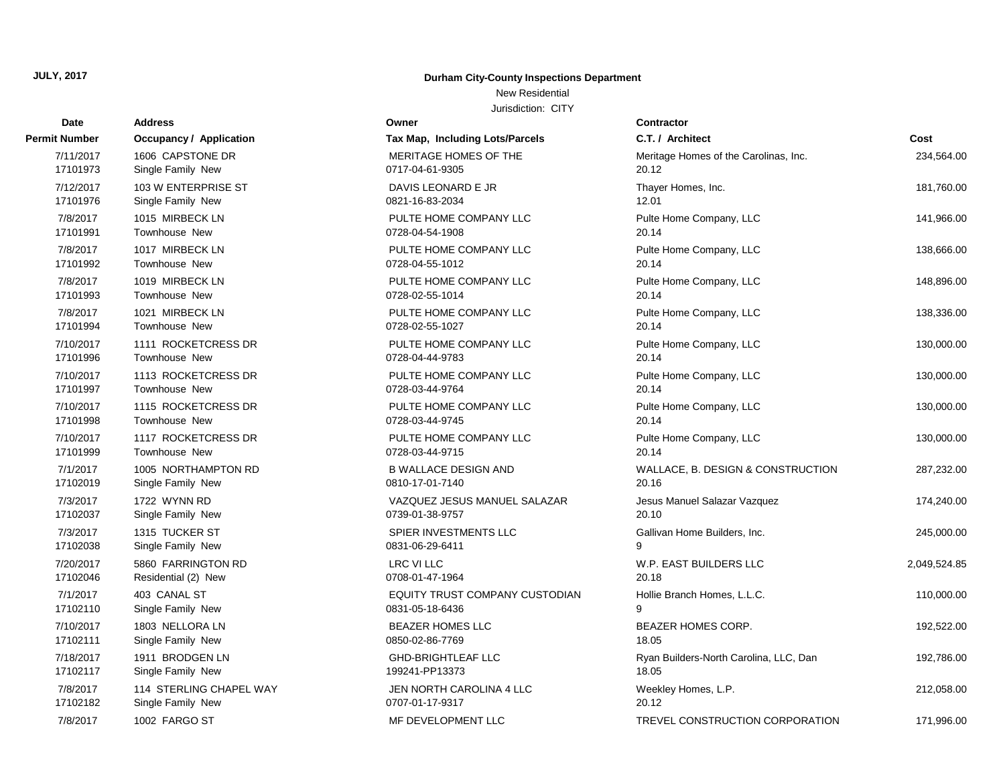# New Residential

| Date          | <b>Address</b>                 | Owner                           | <b>Contractor</b>                      |              |
|---------------|--------------------------------|---------------------------------|----------------------------------------|--------------|
| Permit Number | <b>Occupancy / Application</b> | Tax Map, Including Lots/Parcels | C.T. / Architect                       | Cost         |
| 7/11/2017     | 1606 CAPSTONE DR               | MERITAGE HOMES OF THE           | Meritage Homes of the Carolinas, Inc.  | 234,564.00   |
| 17101973      | Single Family New              | 0717-04-61-9305                 | 20.12                                  |              |
| 7/12/2017     | 103 W ENTERPRISE ST            | DAVIS LEONARD E JR              | Thayer Homes, Inc.                     | 181,760.00   |
| 17101976      | Single Family New              | 0821-16-83-2034                 | 12.01                                  |              |
| 7/8/2017      | 1015 MIRBECK LN                | PULTE HOME COMPANY LLC          | Pulte Home Company, LLC                | 141,966.00   |
| 17101991      | <b>Townhouse New</b>           | 0728-04-54-1908                 | 20.14                                  |              |
| 7/8/2017      | 1017 MIRBECK LN                | PULTE HOME COMPANY LLC          | Pulte Home Company, LLC                | 138,666.00   |
| 17101992      | <b>Townhouse New</b>           | 0728-04-55-1012                 | 20.14                                  |              |
| 7/8/2017      | 1019 MIRBECK LN                | PULTE HOME COMPANY LLC          | Pulte Home Company, LLC                | 148,896.00   |
| 17101993      | <b>Townhouse New</b>           | 0728-02-55-1014                 | 20.14                                  |              |
| 7/8/2017      | 1021 MIRBECK LN                | PULTE HOME COMPANY LLC          | Pulte Home Company, LLC                | 138,336.00   |
| 17101994      | <b>Townhouse New</b>           | 0728-02-55-1027                 | 20.14                                  |              |
| 7/10/2017     | 1111 ROCKETCRESS DR            | PULTE HOME COMPANY LLC          | Pulte Home Company, LLC                | 130,000.00   |
| 17101996      | Townhouse New                  | 0728-04-44-9783                 | 20.14                                  |              |
| 7/10/2017     | 1113 ROCKETCRESS DR            | PULTE HOME COMPANY LLC          | Pulte Home Company, LLC                | 130,000.00   |
| 17101997      | Townhouse New                  | 0728-03-44-9764                 | 20.14                                  |              |
| 7/10/2017     | 1115 ROCKETCRESS DR            | PULTE HOME COMPANY LLC          | Pulte Home Company, LLC                | 130,000.00   |
| 17101998      | <b>Townhouse New</b>           | 0728-03-44-9745                 | 20.14                                  |              |
| 7/10/2017     | 1117 ROCKETCRESS DR            | PULTE HOME COMPANY LLC          | Pulte Home Company, LLC                | 130,000.00   |
| 17101999      | <b>Townhouse New</b>           | 0728-03-44-9715                 | 20.14                                  |              |
| 7/1/2017      | 1005 NORTHAMPTON RD            | <b>B WALLACE DESIGN AND</b>     | WALLACE, B. DESIGN & CONSTRUCTION      | 287,232.00   |
| 17102019      | Single Family New              | 0810-17-01-7140                 | 20.16                                  |              |
| 7/3/2017      | 1722 WYNN RD                   | VAZQUEZ JESUS MANUEL SALAZAR    | Jesus Manuel Salazar Vazquez           | 174,240.00   |
| 17102037      | Single Family New              | 0739-01-38-9757                 | 20.10                                  |              |
| 7/3/2017      | 1315 TUCKER ST                 | SPIER INVESTMENTS LLC           | Gallivan Home Builders, Inc.           | 245,000.00   |
| 17102038      | Single Family New              | 0831-06-29-6411                 | 9                                      |              |
| 7/20/2017     | 5860 FARRINGTON RD             | <b>LRC VI LLC</b>               | W.P. EAST BUILDERS LLC                 | 2,049,524.85 |
| 17102046      | Residential (2) New            | 0708-01-47-1964                 | 20.18                                  |              |
| 7/1/2017      | 403 CANAL ST                   | EQUITY TRUST COMPANY CUSTODIAN  | Hollie Branch Homes, L.L.C.            | 110,000.00   |
| 17102110      | Single Family New              | 0831-05-18-6436                 | 9                                      |              |
| 7/10/2017     | 1803 NELLORA LN                | <b>BEAZER HOMES LLC</b>         | BEAZER HOMES CORP.                     | 192,522.00   |
| 17102111      | Single Family New              | 0850-02-86-7769                 | 18.05                                  |              |
| 7/18/2017     | 1911 BRODGEN LN                | <b>GHD-BRIGHTLEAF LLC</b>       | Ryan Builders-North Carolina, LLC, Dan | 192,786.00   |
| 17102117      | Single Family New              | 199241-PP13373                  | 18.05                                  |              |
| 7/8/2017      | 114 STERLING CHAPEL WAY        | JEN NORTH CAROLINA 4 LLC        | Weekley Homes, L.P.                    | 212,058.00   |
| 17102182      | Single Family New              | 0707-01-17-9317                 | 20.12                                  |              |
| 7/8/2017      | 1002 FARGO ST                  | MF DEVELOPMENT LLC              | TREVEL CONSTRUCTION CORPORATION        | 171,996.00   |

| rmit Number           | <b>Occupancy / Application</b>    |
|-----------------------|-----------------------------------|
| 7/11/2017             | 1606 CAPSTONE DR                  |
| 17101973              | Single Family New                 |
| 7/12/2017             | 103 W ENTERPRISE ST               |
| 17101976              | Single Family New                 |
| 7/8/2017              | 1015 MIRBECK LN                   |
| 17101991              | Townhouse New                     |
| 7/8/2017              | 1017 MIRBECK LN                   |
| 17101992              | Townhouse New                     |
| 7/8/2017              | 1019 MIRBECK LN                   |
| 17101993              | Townhouse New                     |
| 7/8/2017<br>17101994  | 1021 MIRBECK LN<br>Townhouse New  |
| 7/10/2017             | 1111 ROCKETCRESS DR               |
| 17101996              | Townhouse New                     |
| 7/10/2017             | 1113 ROCKETCRESS DR               |
| 17101997              | Townhouse New                     |
| 7/10/2017             | 1115 ROCKETCRESS DR               |
| 17101998              | Townhouse New                     |
| 7/10/2017             | 1117 ROCKETCRESS DR               |
| 17101999              | <b>Townhouse New</b>              |
| 7/1/2017              | 1005 NORTHAMPTON RD               |
| 17102019              | Single Family New                 |
| 7/3/2017              | 1722 WYNN RD                      |
| 17102037              | Single Family New                 |
| 7/3/2017              | 1315 TUCKER ST                    |
| 17102038              | Single Family New                 |
| 7/20/2017<br>17102046 | 5860 FARRINGTON RD                |
|                       | Residential (2) New               |
| 7/1/2017<br>17102110  | 403 CANAL ST<br>Single Family New |
| 7/10/2017             | 1803 NELLORA LN                   |
| 17102111              | Single Family New                 |
| 7/18/2017             | 1911 BRODGEN LN                   |
| 17102117              | Single Family New                 |
| 7/8/2017              | 114 STERLING CHAPEL W/            |
| 17102182              | Single Family New                 |
| 7/8/2017              | 1002 EARGO ST                     |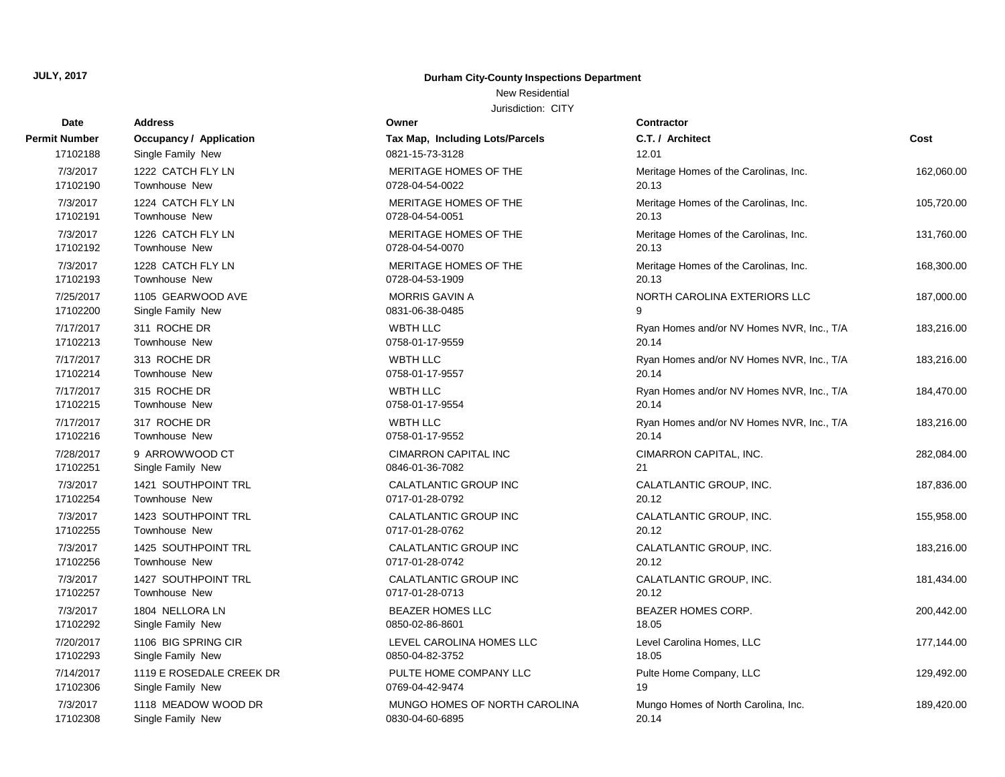### New Residential

Jurisdiction: CITY

| Date          | <b>Address</b>                 | Owner                           | Contractor                                |            |
|---------------|--------------------------------|---------------------------------|-------------------------------------------|------------|
| Permit Number | <b>Occupancy / Application</b> | Tax Map, Including Lots/Parcels | C.T. / Architect                          | Cost       |
| 17102188      | Single Family New              | 0821-15-73-3128                 | 12.01                                     |            |
| 7/3/2017      | 1222 CATCH FLY LN              | MERITAGE HOMES OF THE           | Meritage Homes of the Carolinas, Inc.     | 162,060.00 |
| 17102190      | Townhouse New                  | 0728-04-54-0022                 | 20.13                                     |            |
| 7/3/2017      | 1224 CATCH FLY LN              | MERITAGE HOMES OF THE           | Meritage Homes of the Carolinas, Inc.     | 105,720.00 |
| 17102191      | Townhouse New                  | 0728-04-54-0051                 | 20.13                                     |            |
| 7/3/2017      | 1226 CATCH FLY LN              | MERITAGE HOMES OF THE           | Meritage Homes of the Carolinas, Inc.     | 131,760.00 |
| 17102192      | Townhouse New                  | 0728-04-54-0070                 | 20.13                                     |            |
| 7/3/2017      | 1228 CATCH FLY LN              | MERITAGE HOMES OF THE           | Meritage Homes of the Carolinas, Inc.     | 168,300.00 |
| 17102193      | Townhouse New                  | 0728-04-53-1909                 | 20.13                                     |            |
| 7/25/2017     | 1105 GEARWOOD AVE              | <b>MORRIS GAVIN A</b>           | NORTH CAROLINA EXTERIORS LLC              | 187,000.00 |
| 17102200      | Single Family New              | 0831-06-38-0485                 | 9                                         |            |
| 7/17/2017     | 311 ROCHE DR                   | <b>WBTH LLC</b>                 | Ryan Homes and/or NV Homes NVR, Inc., T/A | 183,216.00 |
| 17102213      | Townhouse New                  | 0758-01-17-9559                 | 20.14                                     |            |
| 7/17/2017     | 313 ROCHE DR                   | <b>WBTH LLC</b>                 | Ryan Homes and/or NV Homes NVR, Inc., T/A | 183,216.00 |
| 17102214      | Townhouse New                  | 0758-01-17-9557                 | 20.14                                     |            |
| 7/17/2017     | 315 ROCHE DR                   | <b>WBTH LLC</b>                 | Ryan Homes and/or NV Homes NVR, Inc., T/A | 184,470.00 |
| 17102215      | Townhouse New                  | 0758-01-17-9554                 | 20.14                                     |            |
| 7/17/2017     | 317 ROCHE DR                   | <b>WBTH LLC</b>                 | Ryan Homes and/or NV Homes NVR, Inc., T/A | 183,216.00 |
| 17102216      | Townhouse New                  | 0758-01-17-9552                 | 20.14                                     |            |
| 7/28/2017     | 9 ARROWWOOD CT                 | <b>CIMARRON CAPITAL INC</b>     | CIMARRON CAPITAL, INC.                    | 282,084.00 |
| 17102251      | Single Family New              | 0846-01-36-7082                 | 21                                        |            |
| 7/3/2017      | <b>1421 SOUTHPOINT TRL</b>     | CALATLANTIC GROUP INC           | CALATLANTIC GROUP, INC.                   | 187,836.00 |
| 17102254      | Townhouse New                  | 0717-01-28-0792                 | 20.12                                     |            |
| 7/3/2017      | 1423 SOUTHPOINT TRL            | CALATLANTIC GROUP INC           | CALATLANTIC GROUP, INC.                   | 155,958.00 |
| 17102255      | Townhouse New                  | 0717-01-28-0762                 | 20.12                                     |            |
| 7/3/2017      | 1425 SOUTHPOINT TRL            | CALATLANTIC GROUP INC           | CALATLANTIC GROUP, INC.                   | 183,216.00 |
| 17102256      | Townhouse New                  | 0717-01-28-0742                 | 20.12                                     |            |
| 7/3/2017      | 1427 SOUTHPOINT TRL            | CALATLANTIC GROUP INC           | CALATLANTIC GROUP, INC.                   | 181,434.00 |
| 17102257      | Townhouse New                  | 0717-01-28-0713                 | 20.12                                     |            |
| 7/3/2017      | 1804 NELLORA LN                | <b>BEAZER HOMES LLC</b>         | BEAZER HOMES CORP.                        | 200,442.00 |
| 17102292      | Single Family New              | 0850-02-86-8601                 | 18.05                                     |            |
| 7/20/2017     | 1106 BIG SPRING CIR            | LEVEL CAROLINA HOMES LLC        | Level Carolina Homes, LLC                 | 177,144.00 |
| 17102293      | Single Family New              | 0850-04-82-3752                 | 18.05                                     |            |
| 7/14/2017     | 1119 E ROSEDALE CREEK DR       | PULTE HOME COMPANY LLC          | Pulte Home Company, LLC                   | 129,492.00 |
| 17102306      | Single Family New              | 0769-04-42-9474                 | 19                                        |            |
| 7/3/2017      | 1118 MEADOW WOOD DR            | MUNGO HOMES OF NORTH CAROLINA   | Mungo Homes of North Carolina, Inc.       | 189,420.00 |
| 17102308      | Single Family New              | 0830-04-60-6895                 | 20.14                                     |            |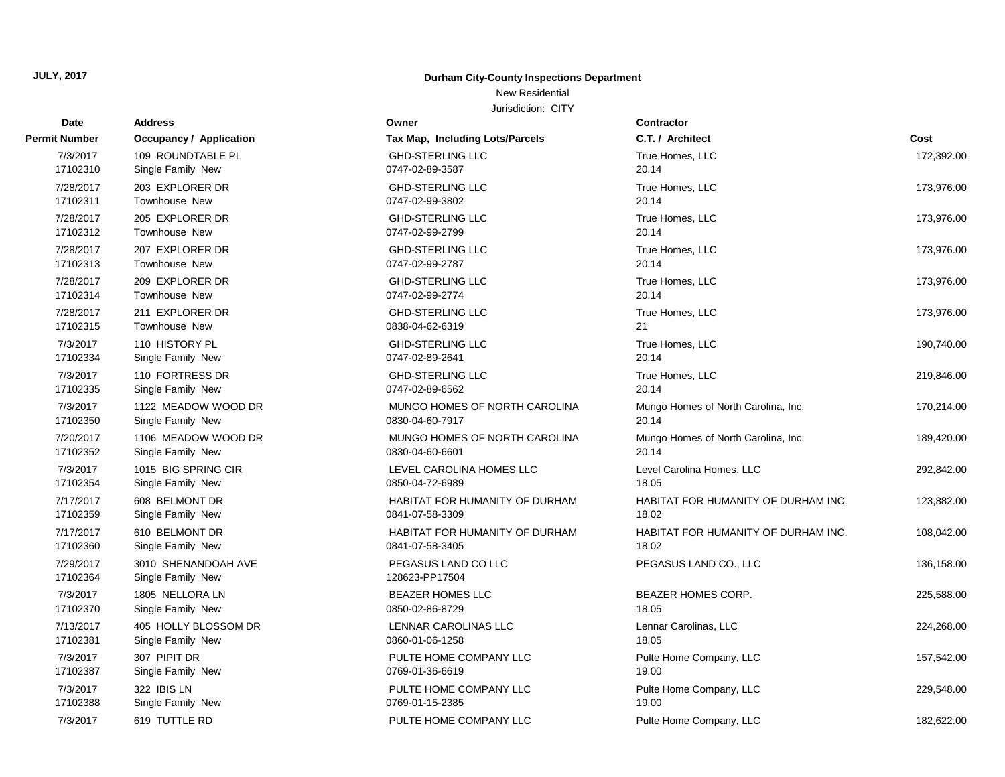## New Residential

| Date                  | <b>Address</b>                           | Owner                                 | Contractor                          |            |
|-----------------------|------------------------------------------|---------------------------------------|-------------------------------------|------------|
| Permit Number         | Occupancy / Application                  | Tax Map, Including Lots/Parcels       | C.T. / Architect                    | Cost       |
| 7/3/2017              | 109 ROUNDTABLE PL                        | <b>GHD-STERLING LLC</b>               | True Homes, LLC                     | 172,392.00 |
| 17102310              | Single Family New                        | 0747-02-89-3587                       | 20.14                               |            |
| 7/28/2017             | 203 EXPLORER DR                          | <b>GHD-STERLING LLC</b>               | True Homes, LLC                     | 173,976.00 |
| 17102311              | <b>Townhouse New</b>                     | 0747-02-99-3802                       | 20.14                               |            |
| 7/28/2017             | 205 EXPLORER DR                          | <b>GHD-STERLING LLC</b>               | True Homes, LLC                     | 173,976.00 |
| 17102312              | <b>Townhouse New</b>                     | 0747-02-99-2799                       | 20.14                               |            |
| 7/28/2017             | 207 EXPLORER DR                          | <b>GHD-STERLING LLC</b>               | True Homes, LLC                     | 173,976.00 |
| 17102313              | <b>Townhouse New</b>                     | 0747-02-99-2787                       | 20.14                               |            |
| 7/28/2017             | 209 EXPLORER DR                          | <b>GHD-STERLING LLC</b>               | True Homes, LLC                     | 173,976.00 |
| 17102314              | <b>Townhouse New</b>                     | 0747-02-99-2774                       | 20.14                               |            |
| 7/28/2017             | 211 EXPLORER DR                          | <b>GHD-STERLING LLC</b>               | True Homes, LLC                     | 173,976.00 |
| 17102315              | Townhouse New                            | 0838-04-62-6319                       | 21                                  |            |
| 7/3/2017              | 110 HISTORY PL                           | <b>GHD-STERLING LLC</b>               | True Homes, LLC                     | 190,740.00 |
| 17102334              | Single Family New                        | 0747-02-89-2641                       | 20.14                               |            |
| 7/3/2017              | 110 FORTRESS DR                          | <b>GHD-STERLING LLC</b>               | True Homes, LLC                     | 219,846.00 |
| 17102335              | Single Family New                        | 0747-02-89-6562                       | 20.14                               |            |
| 7/3/2017              | 1122 MEADOW WOOD DR                      | MUNGO HOMES OF NORTH CAROLINA         | Mungo Homes of North Carolina, Inc. | 170,214.00 |
| 17102350              | Single Family New                        | 0830-04-60-7917                       | 20.14                               |            |
| 7/20/2017             | 1106 MEADOW WOOD DR                      | MUNGO HOMES OF NORTH CAROLINA         | Mungo Homes of North Carolina, Inc. | 189,420.00 |
| 17102352              | Single Family New                        | 0830-04-60-6601                       | 20.14                               |            |
| 7/3/2017              | 1015 BIG SPRING CIR                      | LEVEL CAROLINA HOMES LLC              | Level Carolina Homes, LLC           | 292,842.00 |
| 17102354              | Single Family New                        | 0850-04-72-6989                       | 18.05                               |            |
| 7/17/2017             | 608 BELMONT DR                           | HABITAT FOR HUMANITY OF DURHAM        | HABITAT FOR HUMANITY OF DURHAM INC. | 123,882.00 |
| 17102359              | Single Family New                        | 0841-07-58-3309                       | 18.02                               |            |
| 7/17/2017             | 610 BELMONT DR                           | HABITAT FOR HUMANITY OF DURHAM        | HABITAT FOR HUMANITY OF DURHAM INC. | 108,042.00 |
| 17102360              | Single Family New                        | 0841-07-58-3405                       | 18.02                               |            |
| 7/29/2017<br>17102364 | 3010 SHENANDOAH AVE<br>Single Family New | PEGASUS LAND CO LLC<br>128623-PP17504 | PEGASUS LAND CO., LLC               | 136,158.00 |
| 7/3/2017              | 1805 NELLORA LN                          | <b>BEAZER HOMES LLC</b>               | <b>BEAZER HOMES CORP.</b>           | 225,588.00 |
| 17102370              | Single Family New                        | 0850-02-86-8729                       | 18.05                               |            |
| 7/13/2017             | 405 HOLLY BLOSSOM DR                     | <b>LENNAR CAROLINAS LLC</b>           | Lennar Carolinas, LLC               | 224,268.00 |
| 17102381              | Single Family New                        | 0860-01-06-1258                       | 18.05                               |            |
| 7/3/2017              | 307 PIPIT DR                             | PULTE HOME COMPANY LLC                | Pulte Home Company, LLC             | 157,542.00 |
| 17102387              | Single Family New                        | 0769-01-36-6619                       | 19.00                               |            |
| 7/3/2017              | 322 IBIS LN                              | PULTE HOME COMPANY LLC                | Pulte Home Company, LLC             | 229,548.00 |
| 17102388              | Single Family New                        | 0769-01-15-2385                       | 19.00                               |            |
| 7/3/2017              | 619 TUTTLE RD                            | PULTE HOME COMPANY LLC                | Pulte Home Company, LLC             | 182,622.00 |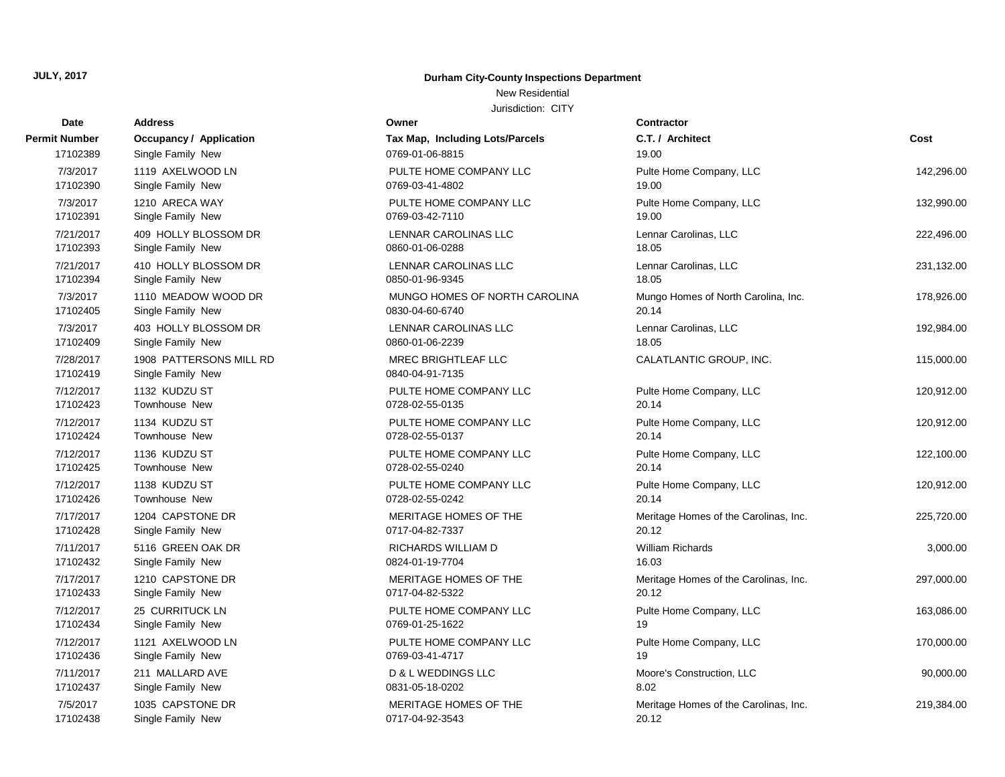#### New Residential

| Date                  | <b>Address</b>                               | Owner                                         | <b>Contractor</b>                     |            |
|-----------------------|----------------------------------------------|-----------------------------------------------|---------------------------------------|------------|
| Permit Number         | <b>Occupancy / Application</b>               | Tax Map, Including Lots/Parcels               | C.T. / Architect                      | Cost       |
| 17102389              | Single Family New                            | 0769-01-06-8815                               | 19.00                                 |            |
| 7/3/2017              | 1119 AXELWOOD LN                             | PULTE HOME COMPANY LLC                        | Pulte Home Company, LLC               | 142,296.00 |
| 17102390              | Single Family New                            | 0769-03-41-4802                               | 19.00                                 |            |
| 7/3/2017              | 1210 ARECA WAY                               | PULTE HOME COMPANY LLC                        | Pulte Home Company, LLC               | 132,990.00 |
| 17102391              | Single Family New                            | 0769-03-42-7110                               | 19.00                                 |            |
| 7/21/2017             | 409 HOLLY BLOSSOM DR                         | LENNAR CAROLINAS LLC                          | Lennar Carolinas, LLC                 | 222,496.00 |
| 17102393              | Single Family New                            | 0860-01-06-0288                               | 18.05                                 |            |
| 7/21/2017             | 410 HOLLY BLOSSOM DR                         | LENNAR CAROLINAS LLC                          | Lennar Carolinas, LLC                 | 231,132.00 |
| 17102394              | Single Family New                            | 0850-01-96-9345                               | 18.05                                 |            |
| 7/3/2017              | 1110 MEADOW WOOD DR                          | MUNGO HOMES OF NORTH CAROLINA                 | Mungo Homes of North Carolina, Inc.   | 178,926.00 |
| 17102405              | Single Family New                            | 0830-04-60-6740                               | 20.14                                 |            |
| 7/3/2017              | 403 HOLLY BLOSSOM DR                         | LENNAR CAROLINAS LLC                          | Lennar Carolinas, LLC                 | 192,984.00 |
| 17102409              | Single Family New                            | 0860-01-06-2239                               | 18.05                                 |            |
| 7/28/2017<br>17102419 | 1908 PATTERSONS MILL RD<br>Single Family New | <b>MREC BRIGHTLEAF LLC</b><br>0840-04-91-7135 | CALATLANTIC GROUP, INC.               | 115,000.00 |
| 7/12/2017             | 1132 KUDZU ST                                | PULTE HOME COMPANY LLC                        | Pulte Home Company, LLC               | 120,912.00 |
| 17102423              | Townhouse New                                | 0728-02-55-0135                               | 20.14                                 |            |
| 7/12/2017             | 1134 KUDZU ST                                | PULTE HOME COMPANY LLC                        | Pulte Home Company, LLC               | 120,912.00 |
| 17102424              | <b>Townhouse New</b>                         | 0728-02-55-0137                               | 20.14                                 |            |
| 7/12/2017             | 1136 KUDZU ST                                | PULTE HOME COMPANY LLC                        | Pulte Home Company, LLC               | 122,100.00 |
| 17102425              | Townhouse New                                | 0728-02-55-0240                               | 20.14                                 |            |
| 7/12/2017             | 1138 KUDZU ST                                | PULTE HOME COMPANY LLC                        | Pulte Home Company, LLC               | 120,912.00 |
| 17102426              | <b>Townhouse New</b>                         | 0728-02-55-0242                               | 20.14                                 |            |
| 7/17/2017             | 1204 CAPSTONE DR                             | MERITAGE HOMES OF THE                         | Meritage Homes of the Carolinas, Inc. | 225,720.00 |
| 17102428              | Single Family New                            | 0717-04-82-7337                               | 20.12                                 |            |
| 7/11/2017             | 5116 GREEN OAK DR                            | RICHARDS WILLIAM D                            | <b>William Richards</b>               | 3,000.00   |
| 17102432              | Single Family New                            | 0824-01-19-7704                               | 16.03                                 |            |
| 7/17/2017             | 1210 CAPSTONE DR                             | MERITAGE HOMES OF THE                         | Meritage Homes of the Carolinas, Inc. | 297,000.00 |
| 17102433              | Single Family New                            | 0717-04-82-5322                               | 20.12                                 |            |
| 7/12/2017             | 25 CURRITUCK LN                              | PULTE HOME COMPANY LLC                        | Pulte Home Company, LLC               | 163,086.00 |
| 17102434              | Single Family New                            | 0769-01-25-1622                               | 19                                    |            |
| 7/12/2017             | 1121 AXELWOOD LN                             | PULTE HOME COMPANY LLC                        | Pulte Home Company, LLC               | 170,000.00 |
| 17102436              | Single Family New                            | 0769-03-41-4717                               | 19                                    |            |
| 7/11/2017             | 211 MALLARD AVE                              | D & L WEDDINGS LLC                            | Moore's Construction, LLC             | 90,000.00  |
| 17102437              | Single Family New                            | 0831-05-18-0202                               | 8.02                                  |            |
| 7/5/2017              | 1035 CAPSTONE DR                             | MERITAGE HOMES OF THE                         | Meritage Homes of the Carolinas, Inc. | 219,384.00 |
| 17102438              | Single Family New                            | 0717-04-92-3543                               | 20.12                                 |            |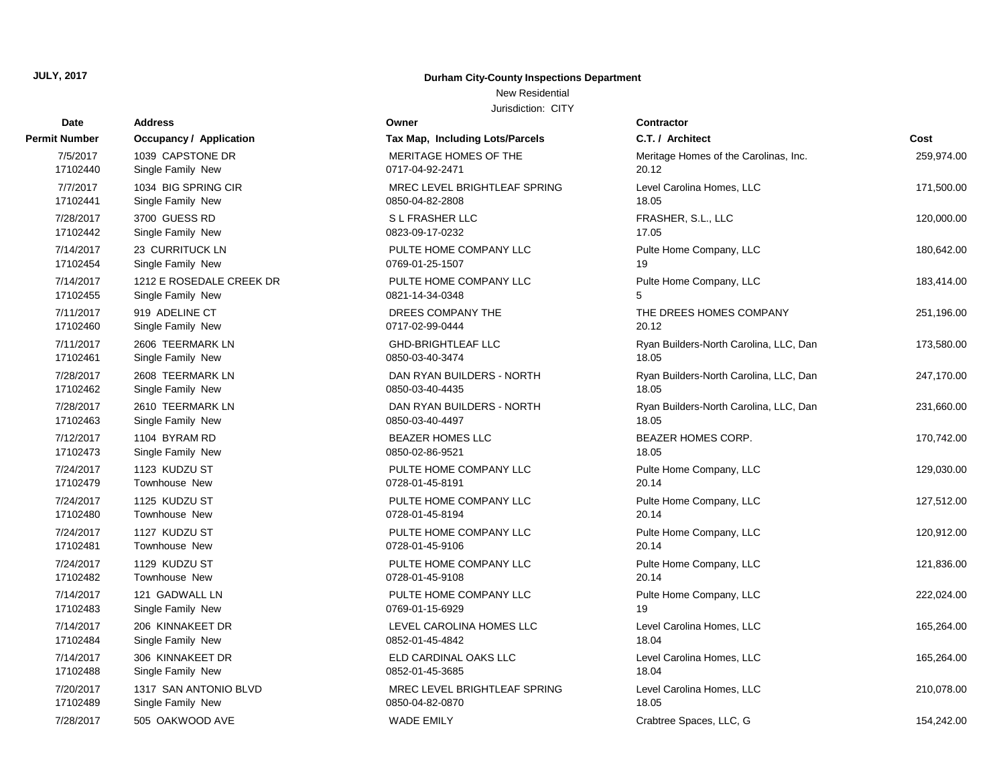Address **Permit Number Occupancy / Application** 

#### **JULY, 2017 Durham City-County Inspections Department**

#### New Residential

| Date                  | <b>Address</b>                                | Owner                                     | <b>Contractor</b>                      |            |
|-----------------------|-----------------------------------------------|-------------------------------------------|----------------------------------------|------------|
| t Number              | <b>Occupancy / Application</b>                | Tax Map, Including Lots/Parcels           | C.T. / Architect                       | Cost       |
| 7/5/2017              | 1039 CAPSTONE DR                              | MERITAGE HOMES OF THE                     | Meritage Homes of the Carolinas, Inc.  | 259,974.00 |
| 17102440              | Single Family New                             | 0717-04-92-2471                           | 20.12                                  |            |
| 7/7/2017              | 1034 BIG SPRING CIR                           | MREC LEVEL BRIGHTLEAF SPRING              | Level Carolina Homes, LLC              | 171,500.00 |
| 17102441              | Single Family New                             | 0850-04-82-2808                           | 18.05                                  |            |
| 7/28/2017             | 3700 GUESS RD                                 | S L FRASHER LLC                           | FRASHER, S.L., LLC                     | 120,000.00 |
| 17102442              | Single Family New                             | 0823-09-17-0232                           | 17.05                                  |            |
| 7/14/2017             | 23 CURRITUCK LN                               | PULTE HOME COMPANY LLC                    | Pulte Home Company, LLC                | 180,642.00 |
| 17102454              | Single Family New                             | 0769-01-25-1507                           | 19                                     |            |
| 7/14/2017<br>17102455 | 1212 E ROSEDALE CREEK DR<br>Single Family New | PULTE HOME COMPANY LLC<br>0821-14-34-0348 | Pulte Home Company, LLC<br>5           | 183,414.00 |
| 7/11/2017             | 919 ADELINE CT                                | DREES COMPANY THE                         |                                        |            |
| 17102460              | Single Family New                             | 0717-02-99-0444                           | THE DREES HOMES COMPANY<br>20.12       | 251,196.00 |
| 7/11/2017             | 2606 TEERMARK LN                              | <b>GHD-BRIGHTLEAF LLC</b>                 | Ryan Builders-North Carolina, LLC, Dan | 173,580.00 |
| 17102461              | Single Family New                             | 0850-03-40-3474                           | 18.05                                  |            |
| 7/28/2017             | 2608 TEERMARK LN                              | DAN RYAN BUILDERS - NORTH                 | Ryan Builders-North Carolina, LLC, Dan | 247,170.00 |
| 17102462              | Single Family New                             | 0850-03-40-4435                           | 18.05                                  |            |
| 7/28/2017             | 2610 TEERMARK LN                              | DAN RYAN BUILDERS - NORTH                 | Ryan Builders-North Carolina, LLC, Dan | 231,660.00 |
| 17102463              | Single Family New                             | 0850-03-40-4497                           | 18.05                                  |            |
| 7/12/2017             | 1104 BYRAM RD                                 | BEAZER HOMES LLC                          | BEAZER HOMES CORP.                     | 170,742.00 |
| 17102473              | Single Family New                             | 0850-02-86-9521                           | 18.05                                  |            |
| 7/24/2017             | 1123 KUDZU ST                                 | PULTE HOME COMPANY LLC                    | Pulte Home Company, LLC                | 129,030.00 |
| 17102479              | Townhouse New                                 | 0728-01-45-8191                           | 20.14                                  |            |
| 7/24/2017             | 1125 KUDZU ST                                 | PULTE HOME COMPANY LLC                    | Pulte Home Company, LLC                | 127,512.00 |
| 17102480              | Townhouse New                                 | 0728-01-45-8194                           | 20.14                                  |            |
| 7/24/2017<br>17102481 | 1127 KUDZU ST<br>Townhouse New                | PULTE HOME COMPANY LLC<br>0728-01-45-9106 | Pulte Home Company, LLC<br>20.14       | 120,912.00 |
|                       |                                               |                                           |                                        |            |
| 7/24/2017<br>17102482 | 1129 KUDZU ST<br><b>Townhouse New</b>         | PULTE HOME COMPANY LLC<br>0728-01-45-9108 | Pulte Home Company, LLC<br>20.14       | 121,836.00 |
| 7/14/2017             | 121 GADWALL LN                                | PULTE HOME COMPANY LLC                    | Pulte Home Company, LLC                | 222,024.00 |
| 17102483              | Single Family New                             | 0769-01-15-6929                           | 19                                     |            |
| 7/14/2017             | 206 KINNAKEET DR                              | LEVEL CAROLINA HOMES LLC                  | Level Carolina Homes, LLC              | 165,264.00 |
| 17102484              | Single Family New                             | 0852-01-45-4842                           | 18.04                                  |            |
| 7/14/2017             | 306 KINNAKEET DR                              | ELD CARDINAL OAKS LLC                     | Level Carolina Homes, LLC              | 165,264.00 |
| 17102488              | Single Family New                             | 0852-01-45-3685                           | 18.04                                  |            |
| 7/20/2017             | 1317 SAN ANTONIO BLVD                         | MREC LEVEL BRIGHTLEAF SPRING              | Level Carolina Homes, LLC              | 210,078.00 |
| 17102489              | Single Family New                             | 0850-04-82-0870                           | 18.05                                  |            |
| 7/28/2017             | 505 OAKWOOD AVE                               | <b>WADE EMILY</b>                         | Crabtree Spaces, LLC, G                | 154,242.00 |
|                       |                                               |                                           |                                        |            |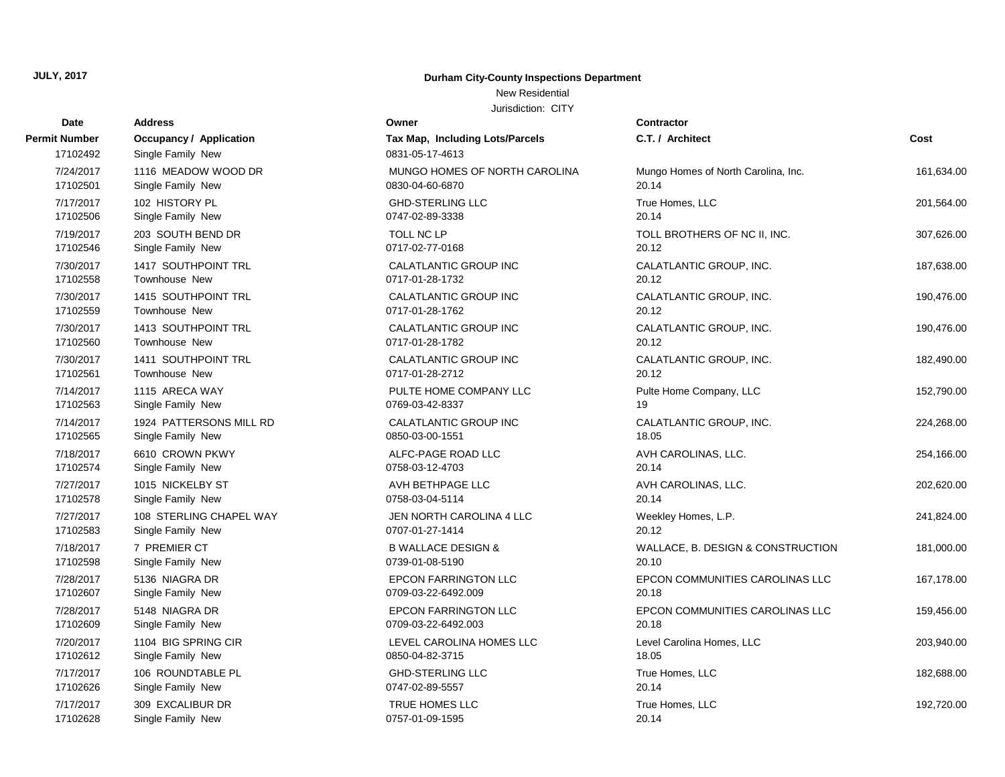## New Residential

| Date                      | <b>Address</b>                                      | Owner                                              | <b>Contractor</b>                   |            |
|---------------------------|-----------------------------------------------------|----------------------------------------------------|-------------------------------------|------------|
| Permit Number<br>17102492 | <b>Occupancy / Application</b><br>Single Family New | Tax Map, Including Lots/Parcels<br>0831-05-17-4613 | C.T. / Architect                    | Cost       |
| 7/24/2017                 | 1116 MEADOW WOOD DR                                 | MUNGO HOMES OF NORTH CAROLINA                      | Mungo Homes of North Carolina, Inc. | 161,634.00 |
| 17102501                  | Single Family New                                   | 0830-04-60-6870                                    | 20.14                               |            |
| 7/17/2017                 | 102 HISTORY PL                                      | <b>GHD-STERLING LLC</b>                            | True Homes, LLC                     | 201,564.00 |
| 17102506                  | Single Family New                                   | 0747-02-89-3338                                    | 20.14                               |            |
| 7/19/2017                 | 203 SOUTH BEND DR                                   | TOLL NC LP                                         | TOLL BROTHERS OF NC II, INC.        | 307,626.00 |
| 17102546                  | Single Family New                                   | 0717-02-77-0168                                    | 20.12                               |            |
| 7/30/2017                 | 1417 SOUTHPOINT TRL                                 | CALATLANTIC GROUP INC                              | CALATLANTIC GROUP, INC.             | 187,638.00 |
| 17102558                  | <b>Townhouse New</b>                                | 0717-01-28-1732                                    | 20.12                               |            |
| 7/30/2017                 | 1415 SOUTHPOINT TRL                                 | CALATLANTIC GROUP INC                              | CALATLANTIC GROUP, INC.             | 190,476.00 |
| 17102559                  | Townhouse New                                       | 0717-01-28-1762                                    | 20.12                               |            |
| 7/30/2017                 | 1413 SOUTHPOINT TRL                                 | CALATLANTIC GROUP INC                              | CALATLANTIC GROUP, INC.             | 190,476.00 |
| 17102560                  | <b>Townhouse New</b>                                | 0717-01-28-1782                                    | 20.12                               |            |
| 7/30/2017                 | 1411 SOUTHPOINT TRL                                 | CALATLANTIC GROUP INC                              | CALATLANTIC GROUP, INC.             | 182,490.00 |
| 17102561                  | Townhouse New                                       | 0717-01-28-2712                                    | 20.12                               |            |
| 7/14/2017                 | 1115 ARECA WAY                                      | PULTE HOME COMPANY LLC                             | Pulte Home Company, LLC             | 152,790.00 |
| 17102563                  | Single Family New                                   | 0769-03-42-8337                                    | 19                                  |            |
| 7/14/2017                 | 1924 PATTERSONS MILL RD                             | CALATLANTIC GROUP INC                              | CALATLANTIC GROUP, INC.             | 224,268.00 |
| 17102565                  | Single Family New                                   | 0850-03-00-1551                                    | 18.05                               |            |
| 7/18/2017                 | 6610 CROWN PKWY                                     | ALFC-PAGE ROAD LLC                                 | AVH CAROLINAS, LLC.                 | 254,166.00 |
| 17102574                  | Single Family New                                   | 0758-03-12-4703                                    | 20.14                               |            |
| 7/27/2017                 | 1015 NICKELBY ST                                    | AVH BETHPAGE LLC                                   | AVH CAROLINAS, LLC.                 | 202,620.00 |
| 17102578                  | Single Family New                                   | 0758-03-04-5114                                    | 20.14                               |            |
| 7/27/2017                 | 108 STERLING CHAPEL WAY                             | JEN NORTH CAROLINA 4 LLC                           | Weekley Homes, L.P.                 | 241,824.00 |
| 17102583                  | Single Family New                                   | 0707-01-27-1414                                    | 20.12                               |            |
| 7/18/2017                 | 7 PREMIER CT                                        | <b>B WALLACE DESIGN &amp;</b>                      | WALLACE, B. DESIGN & CONSTRUCTION   | 181,000.00 |
| 17102598                  | Single Family New                                   | 0739-01-08-5190                                    | 20.10                               |            |
| 7/28/2017                 | 5136 NIAGRA DR                                      | <b>EPCON FARRINGTON LLC</b>                        | EPCON COMMUNITIES CAROLINAS LLC     | 167,178.00 |
| 17102607                  | Single Family New                                   | 0709-03-22-6492.009                                | 20.18                               |            |
| 7/28/2017                 | 5148 NIAGRA DR                                      | <b>EPCON FARRINGTON LLC</b>                        | EPCON COMMUNITIES CAROLINAS LLC     | 159,456.00 |
| 17102609                  | Single Family New                                   | 0709-03-22-6492.003                                | 20.18                               |            |
| 7/20/2017                 | 1104 BIG SPRING CIR                                 | LEVEL CAROLINA HOMES LLC                           | Level Carolina Homes, LLC           | 203,940.00 |
| 17102612                  | Single Family New                                   | 0850-04-82-3715                                    | 18.05                               |            |
| 7/17/2017                 | 106 ROUNDTABLE PL                                   | <b>GHD-STERLING LLC</b>                            | True Homes, LLC                     | 182,688.00 |
| 17102626                  | Single Family New                                   | 0747-02-89-5557                                    | 20.14                               |            |
| 7/17/2017                 | 309 EXCALIBUR DR                                    | TRUE HOMES LLC                                     | True Homes, LLC                     | 192,720.00 |
| 17102628                  | Single Family New                                   | 0757-01-09-1595                                    | 20.14                               |            |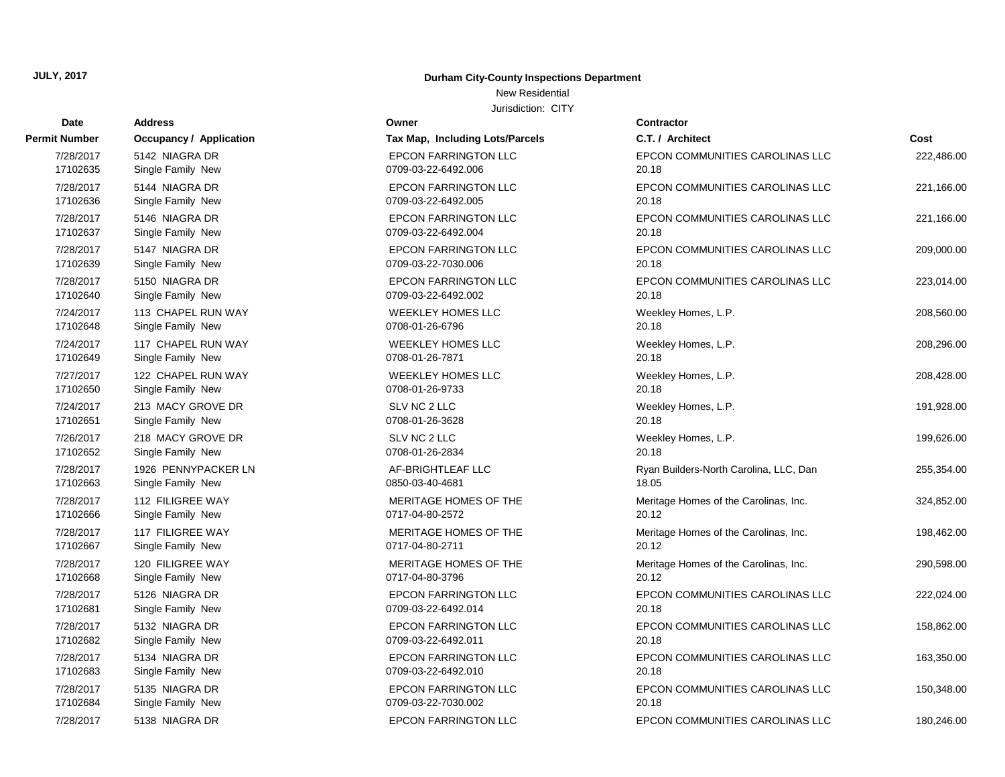# **Date Contractor Address Owner Permit Number Occupancy / Application Tax Map, Including Lots** 17102684 Single Family New 0709-03-22-7030.002 17102683 Single Family New 0709-03-22-6492.010 17102682 Single Family New 0709-03-22-6492.011 17102681 Single Family New 0709-03-22-6492.014 17102668 Single Family New 0717-04-80-3796 17102667 Single Family New 0717-04-80-2711 20.12 17102666 Single Family New 0717-04-80-2572 17102663 Single Family New 0850-03-40-4681 17102652 Single Family New 2012 20:30 0708-01-26-2834 17102651 Single Family New 2012 20:30:20 0708-01-26-3628 17102650 Single Family New 0708-01-26-9733 17102649 Single Family New 2012 20:00 0708-01-26-7871 17102648 Single Family New 2010 2020 2012-26-6796 17102640 Single Family New 0709-03-22-6492.002 17102639 Single Family New 0709-03-22-7030.006 17102637 Single Family New 2012 2020 2020 2020-03-22-6492.004 17102636 Single Family New 07109-03-22-6492.005 17102635 Single Family New 0709-03-22-6492.006

#### **JULY, 2017 Durham City-County Inspections Department**

New Residential

| Dale      | nuuress                 |                                 |                                        |            |
|-----------|-------------------------|---------------------------------|----------------------------------------|------------|
| it Number | Occupancy / Application | Tax Map, Including Lots/Parcels | C.T. / Architect                       | Cost       |
| 7/28/2017 | 5142 NIAGRA DR          | <b>EPCON FARRINGTON LLC</b>     | EPCON COMMUNITIES CAROLINAS LLC        | 222,486.00 |
| 17102635  | Single Family New       | 0709-03-22-6492.006             | 20.18                                  |            |
| 7/28/2017 | 5144 NIAGRA DR          | <b>EPCON FARRINGTON LLC</b>     | EPCON COMMUNITIES CAROLINAS LLC        | 221,166.00 |
| 17102636  | Single Family New       | 0709-03-22-6492.005             | 20.18                                  |            |
| 7/28/2017 | 5146 NIAGRA DR          | <b>EPCON FARRINGTON LLC</b>     | EPCON COMMUNITIES CAROLINAS LLC        | 221,166.00 |
| 17102637  | Single Family New       | 0709-03-22-6492.004             | 20.18                                  |            |
| 7/28/2017 | 5147 NIAGRA DR          | <b>EPCON FARRINGTON LLC</b>     | EPCON COMMUNITIES CAROLINAS LLC        | 209,000.00 |
| 17102639  | Single Family New       | 0709-03-22-7030.006             | 20.18                                  |            |
| 7/28/2017 | 5150 NIAGRA DR          | <b>EPCON FARRINGTON LLC</b>     | EPCON COMMUNITIES CAROLINAS LLC        | 223,014.00 |
| 17102640  | Single Family New       | 0709-03-22-6492.002             | 20.18                                  |            |
| 7/24/2017 | 113 CHAPEL RUN WAY      | <b>WEEKLEY HOMES LLC</b>        | Weekley Homes, L.P.                    | 208,560.00 |
| 17102648  | Single Family New       | 0708-01-26-6796                 | 20.18                                  |            |
| 7/24/2017 | 117 CHAPEL RUN WAY      | <b>WEEKLEY HOMES LLC</b>        | Weekley Homes, L.P.                    | 208,296.00 |
| 17102649  | Single Family New       | 0708-01-26-7871                 | 20.18                                  |            |
| 7/27/2017 | 122 CHAPEL RUN WAY      | <b>WEEKLEY HOMES LLC</b>        | Weekley Homes, L.P.                    | 208,428.00 |
| 17102650  | Single Family New       | 0708-01-26-9733                 | 20.18                                  |            |
| 7/24/2017 | 213 MACY GROVE DR       | SLV NC 2 LLC                    | Weekley Homes, L.P.                    | 191,928.00 |
| 17102651  | Single Family New       | 0708-01-26-3628                 | 20.18                                  |            |
| 7/26/2017 | 218 MACY GROVE DR       | SLV NC 2 LLC                    | Weekley Homes, L.P.                    | 199,626.00 |
| 17102652  | Single Family New       | 0708-01-26-2834                 | 20.18                                  |            |
| 7/28/2017 | 1926 PENNYPACKER LN     | AF-BRIGHTLEAF LLC               | Ryan Builders-North Carolina, LLC, Dan | 255,354.00 |
| 17102663  | Single Family New       | 0850-03-40-4681                 | 18.05                                  |            |
| 7/28/2017 | 112 FILIGREE WAY        | MERITAGE HOMES OF THE           | Meritage Homes of the Carolinas, Inc.  | 324,852.00 |
| 17102666  | Single Family New       | 0717-04-80-2572                 | 20.12                                  |            |
| 7/28/2017 | 117 FILIGREE WAY        | MERITAGE HOMES OF THE           | Meritage Homes of the Carolinas, Inc.  | 198,462.00 |
| 17102667  | Single Family New       | 0717-04-80-2711                 | 20.12                                  |            |
| 7/28/2017 | 120 FILIGREE WAY        | MERITAGE HOMES OF THE           | Meritage Homes of the Carolinas, Inc.  | 290,598.00 |
| 17102668  | Single Family New       | 0717-04-80-3796                 | 20.12                                  |            |
| 7/28/2017 | 5126 NIAGRA DR          | <b>EPCON FARRINGTON LLC</b>     | EPCON COMMUNITIES CAROLINAS LLC        | 222,024.00 |
| 17102681  | Single Family New       | 0709-03-22-6492.014             | 20.18                                  |            |
| 7/28/2017 | 5132 NIAGRA DR          | EPCON FARRINGTON LLC            | EPCON COMMUNITIES CAROLINAS LLC        | 158,862.00 |
| 17102682  | Single Family New       | 0709-03-22-6492.011             | 20.18                                  |            |
| 7/28/2017 | 5134 NIAGRA DR          | <b>EPCON FARRINGTON LLC</b>     | EPCON COMMUNITIES CAROLINAS LLC        | 163,350.00 |
| 17102683  | Single Family New       | 0709-03-22-6492.010             | 20.18                                  |            |
| 7/28/2017 | 5135 NIAGRA DR          | <b>EPCON FARRINGTON LLC</b>     | EPCON COMMUNITIES CAROLINAS LLC        | 150,348.00 |
| 17102684  | Single Family New       | 0709-03-22-7030.002             | 20.18                                  |            |
| 7/28/2017 | 5138 NIAGRA DR          | <b>EPCON FARRINGTON LLC</b>     | EPCON COMMUNITIES CAROLINAS LLC        | 180,246.00 |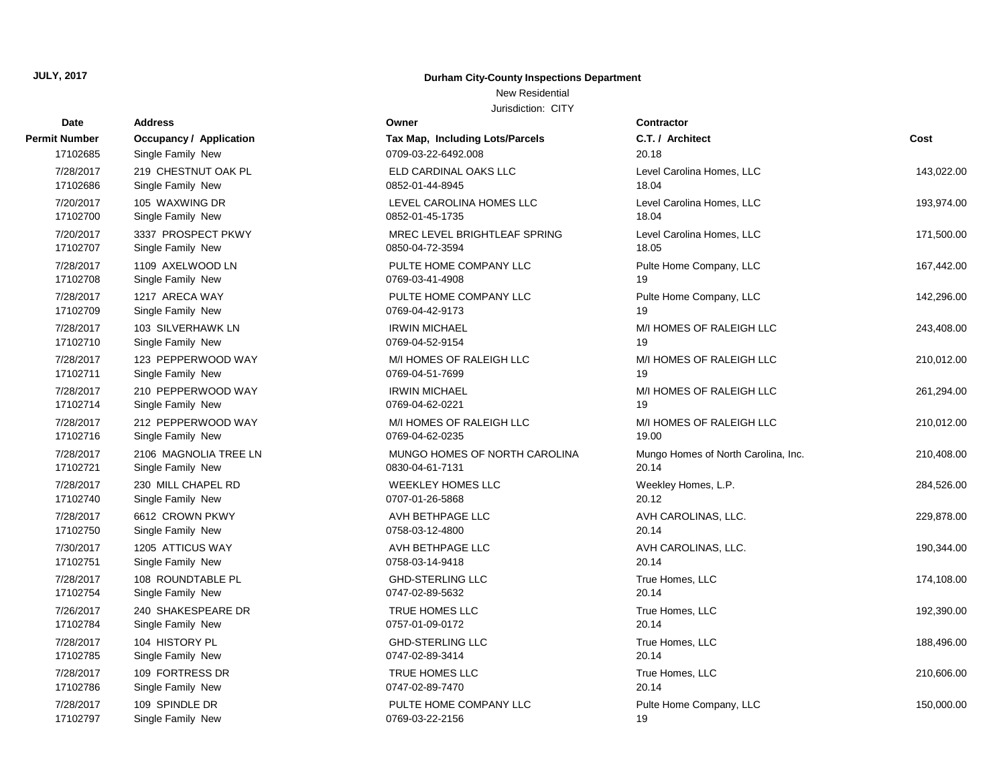## New Residential

| Date          | <b>Address</b>                 | Owner                           | <b>Contractor</b>                   |            |
|---------------|--------------------------------|---------------------------------|-------------------------------------|------------|
| Permit Number | <b>Occupancy / Application</b> | Tax Map, Including Lots/Parcels | C.T. / Architect                    | Cost       |
| 17102685      | Single Family New              | 0709-03-22-6492.008             | 20.18                               |            |
| 7/28/2017     | 219 CHESTNUT OAK PL            | ELD CARDINAL OAKS LLC           | Level Carolina Homes, LLC           | 143,022.00 |
| 17102686      | Single Family New              | 0852-01-44-8945                 | 18.04                               |            |
| 7/20/2017     | 105 WAXWING DR                 | LEVEL CAROLINA HOMES LLC        | Level Carolina Homes, LLC           | 193,974.00 |
| 17102700      | Single Family New              | 0852-01-45-1735                 | 18.04                               |            |
| 7/20/2017     | 3337 PROSPECT PKWY             | MREC LEVEL BRIGHTLEAF SPRING    | Level Carolina Homes, LLC           | 171,500.00 |
| 17102707      | Single Family New              | 0850-04-72-3594                 | 18.05                               |            |
| 7/28/2017     | 1109 AXELWOOD LN               | PULTE HOME COMPANY LLC          | Pulte Home Company, LLC             | 167,442.00 |
| 17102708      | Single Family New              | 0769-03-41-4908                 | 19                                  |            |
| 7/28/2017     | 1217 ARECA WAY                 | PULTE HOME COMPANY LLC          | Pulte Home Company, LLC             | 142,296.00 |
| 17102709      | Single Family New              | 0769-04-42-9173                 | 19                                  |            |
| 7/28/2017     | 103 SILVERHAWK LN              | <b>IRWIN MICHAEL</b>            | M/I HOMES OF RALEIGH LLC            | 243,408.00 |
| 17102710      | Single Family New              | 0769-04-52-9154                 | 19                                  |            |
| 7/28/2017     | 123 PEPPERWOOD WAY             | M/I HOMES OF RALEIGH LLC        | M/I HOMES OF RALEIGH LLC            | 210,012.00 |
| 17102711      | Single Family New              | 0769-04-51-7699                 | 19                                  |            |
| 7/28/2017     | 210 PEPPERWOOD WAY             | <b>IRWIN MICHAEL</b>            | M/I HOMES OF RALEIGH LLC            | 261,294.00 |
| 17102714      | Single Family New              | 0769-04-62-0221                 | 19                                  |            |
| 7/28/2017     | 212 PEPPERWOOD WAY             | M/I HOMES OF RALEIGH LLC        | M/I HOMES OF RALEIGH LLC            | 210,012.00 |
| 17102716      | Single Family New              | 0769-04-62-0235                 | 19.00                               |            |
| 7/28/2017     | 2106 MAGNOLIA TREE LN          | MUNGO HOMES OF NORTH CAROLINA   | Mungo Homes of North Carolina, Inc. | 210,408.00 |
| 17102721      | Single Family New              | 0830-04-61-7131                 | 20.14                               |            |
| 7/28/2017     | 230 MILL CHAPEL RD             | WEEKLEY HOMES LLC               | Weekley Homes, L.P.                 | 284,526.00 |
| 17102740      | Single Family New              | 0707-01-26-5868                 | 20.12                               |            |
| 7/28/2017     | 6612 CROWN PKWY                | AVH BETHPAGE LLC                | AVH CAROLINAS, LLC.                 | 229,878.00 |
| 17102750      | Single Family New              | 0758-03-12-4800                 | 20.14                               |            |
| 7/30/2017     | 1205 ATTICUS WAY               | AVH BETHPAGE LLC                | AVH CAROLINAS, LLC.                 | 190,344.00 |
| 17102751      | Single Family New              | 0758-03-14-9418                 | 20.14                               |            |
| 7/28/2017     | 108 ROUNDTABLE PL              | <b>GHD-STERLING LLC</b>         | True Homes, LLC                     | 174,108.00 |
| 17102754      | Single Family New              | 0747-02-89-5632                 | 20.14                               |            |
| 7/26/2017     | 240 SHAKESPEARE DR             | TRUE HOMES LLC                  | True Homes, LLC                     | 192,390.00 |
| 17102784      | Single Family New              | 0757-01-09-0172                 | 20.14                               |            |
| 7/28/2017     | 104 HISTORY PL                 | <b>GHD-STERLING LLC</b>         | True Homes, LLC                     | 188,496.00 |
| 17102785      | Single Family New              | 0747-02-89-3414                 | 20.14                               |            |
| 7/28/2017     | 109 FORTRESS DR                | TRUE HOMES LLC                  | True Homes, LLC                     | 210,606.00 |
| 17102786      | Single Family New              | 0747-02-89-7470                 | 20.14                               |            |
| 7/28/2017     | 109 SPINDLE DR                 | PULTE HOME COMPANY LLC          | Pulte Home Company, LLC             | 150,000.00 |
| 17102797      | Single Family New              | 0769-03-22-2156                 | 19                                  |            |